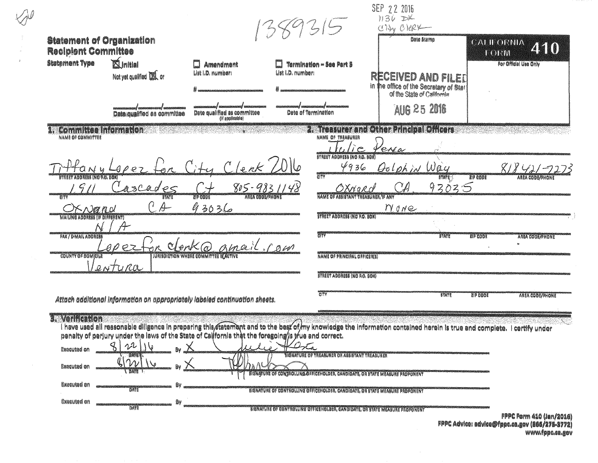| <b>Statement of Organization</b>                              |                                                                                                     |                                                                      | 89315                                                                                                                        | SEP 22 2016<br>$1136$ DK<br>City Citex<br>Date Stamp<br><b>CALLORNIA</b><br>240                                                                                       |                                                                                      |  |
|---------------------------------------------------------------|-----------------------------------------------------------------------------------------------------|----------------------------------------------------------------------|------------------------------------------------------------------------------------------------------------------------------|-----------------------------------------------------------------------------------------------------------------------------------------------------------------------|--------------------------------------------------------------------------------------|--|
| <b>Recipient Committee</b><br><b>Statement Type</b>           | <b>Alnitial</b><br>Not yet qualified UA or                                                          | Amendment<br>List I.D. number:                                       | Termination - See Part 5<br>List I.D. number:                                                                                | RECEIVED AND FILET<br>in the office of the Secretary of Star<br>of the State of California                                                                            | TORM<br>For Official Use Only                                                        |  |
|                                                               | Date aualifled as committee                                                                         | Date qualified as committee<br>(if applicable)                       | Date of Termination                                                                                                          | AUG 25 2016                                                                                                                                                           |                                                                                      |  |
| <b>Committee Information</b><br>NAME OF COMMITTEE             |                                                                                                     |                                                                      | NAME OF TREASURER<br>$l_i$ e                                                                                                 | 2. Treasurer and Other Principal Officers<br>Venea                                                                                                                    |                                                                                      |  |
| ADDRING (NO AG, GOX)                                          |                                                                                                     | lenk                                                                 | STREET ADDRESS (NO RO. SOX)<br>4936<br>enerah<br>CITY                                                                        | Oolphin Way<br>$3747( - )$                                                                                                                                            | $818421 - 2$<br><b>TIP GOOST</b><br><b>ARIA CODE/PHON</b>                            |  |
| SNØROL                                                        | ascades<br>$C$ A                                                                                    | $805 - 9831148$<br>ZIP CODE<br>ANEA COOL/PHON<br>93036               | OXNard<br>NAME OF ASSISTANT TREASURER. IF ANY                                                                                | 93035<br>$\mathbb{C}$ A<br>MONE                                                                                                                                       |                                                                                      |  |
| <b>MAILING ADDRESS (IF DIFFERENT)</b><br>FAX / E-MAIL ABDRESS |                                                                                                     |                                                                      | <b>BYREET ABBRESS (NO P.O. BOX)</b><br><b>ELLA</b>                                                                           | <b>TATE</b>                                                                                                                                                           |                                                                                      |  |
| <b>COUNTY OF BOMICILE</b>                                     | $\rho$ ez                                                                                           | on clenk@ amail. row<br><b>IURIBDIETION WHERE COMMITTEE IEACTIVE</b> | <b>NAME OF PRINCIPAL OFFICER(S)</b>                                                                                          |                                                                                                                                                                       | <b>ZID COOR</b><br><b>AREA COOL/PHONE</b>                                            |  |
|                                                               | Lentura                                                                                             |                                                                      | <b><i>STREET ABBRESS (NO P.O. BOX)</i></b>                                                                                   |                                                                                                                                                                       |                                                                                      |  |
|                                                               | Attach additional information on appropriately labeled continuation sheets.                         |                                                                      | <b>CITY</b>                                                                                                                  | <b>STATE</b>                                                                                                                                                          | <b>ZIP CODE</b><br>AREA CODE/PHONE                                                   |  |
| <b>3. Verification</b><br><b>Executed on</b>                  | penalty of perjury under the laws of the State of California that the foregoing/s y ue and correct. |                                                                      |                                                                                                                              | Thave used all reasonable diligence in preparing this attement and to the best of my knowledge the information contained herein is true and complete. I certify under |                                                                                      |  |
| Executed on                                                   | $\gamma_{\nu}$<br><b>L'EVALE</b>                                                                    |                                                                      | HANATURE OP TREABURER OR ASSISTANT TREABURER<br>SIGNATURE OF CONTROLLING OFFICEHOLDER, CANDIDATE, OR STATE MEASURE PROPONENT |                                                                                                                                                                       |                                                                                      |  |
| Executed on                                                   | <b>BATT</b>                                                                                         |                                                                      | SIGNATURE OF CONTROLLING OFFICER OLDER, CANDIDATE, OR STATE MEASURE PROPONENT                                                |                                                                                                                                                                       |                                                                                      |  |
| <b>Executed on</b>                                            | ₿v<br>DATE                                                                                          |                                                                      | SIGNATURE OF CONTROLLING OFFICER GLOBEN, CANDIDATE, OR STATE MEASURE PROPONENT                                               |                                                                                                                                                                       | <b>FPPC Form 410 (Jan/2016)</b><br>質問題# Adulaa: ndulaafilfame ee neu laad IATE RWEA) |  |

FPPC AGVICOI BOVICO@Tppc.ca.gov (866/275-3772) www.fppc.ca.gov